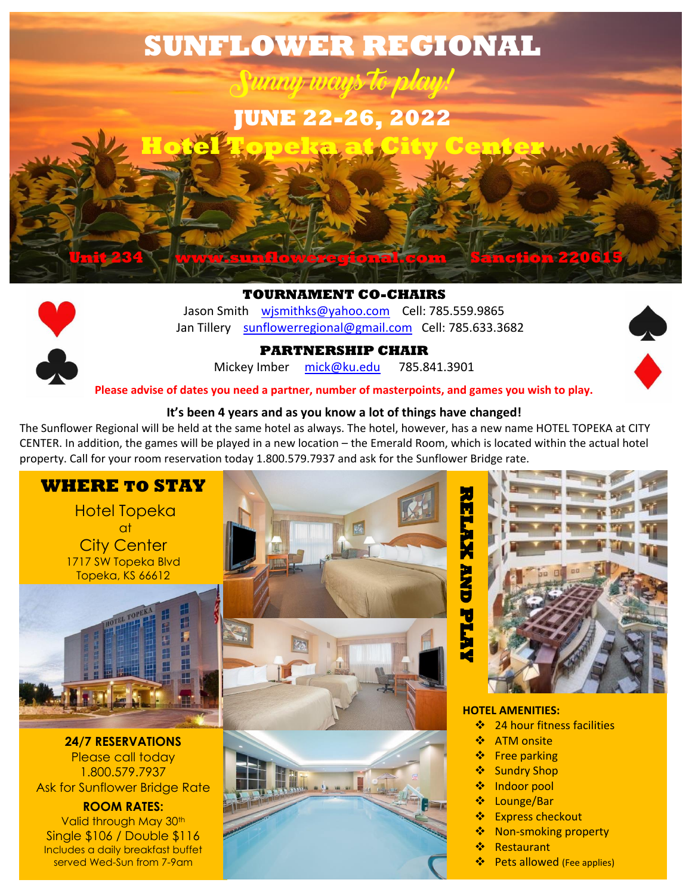

**TOURNAMENT CO-CHAIRS** Jason Smith [wjsmithks@yahoo.com](mailto:wjsmithks@yahoo.com) Cell: 785.559.9865 Jan Tillery [sunflowerregional@gmail.com](mailto:sunflowerregional@gmail.com) Cell: 785.633.3682



**PARTNERSHIP CHAIR**

Mickey Imber [mick@ku.edu](mailto:mick@ku.edu) 785.841.3901

**Please advise of dates you need a partner, number of masterpoints, and games you wish to play.**

#### **It's been 4 years and as you know a lot of things have changed!**

The Sunflower Regional will be held at the same hotel as always. The hotel, however, has a new name HOTEL TOPEKA at CITY CENTER. In addition, the games will be played in a new location – the Emerald Room, which is located within the actual hotel property. Call for your room reservation today 1.800.579.7937 and ask for the Sunflower Bridge rate.



Hotel Topeka  $\alpha$ t City Center 1717 SW Topeka Blvd Topeka, KS 66612



**24/7 RESERVATIONS** Please call today 1.800.579.7937 Ask for Sunflower Bridge Rate

**ROOM RATES:** Valid through May 30<sup>th</sup> Single \$106 / Double \$116 Includes a daily breakfast buffet served Wed-Sun from 7-9am





#### **HOTEL AMENITIES:**

- **❖** 24 hour fitness facilities
- ❖ ATM onsite
- ❖ Free parking
- Sundry Shop
- ❖ Indoor pool
- Lounge/Bar
- ❖ Express checkout
- **❖** Non-smoking property
- ❖ Restaurant
- **❖** Pets allowed (Fee applies)